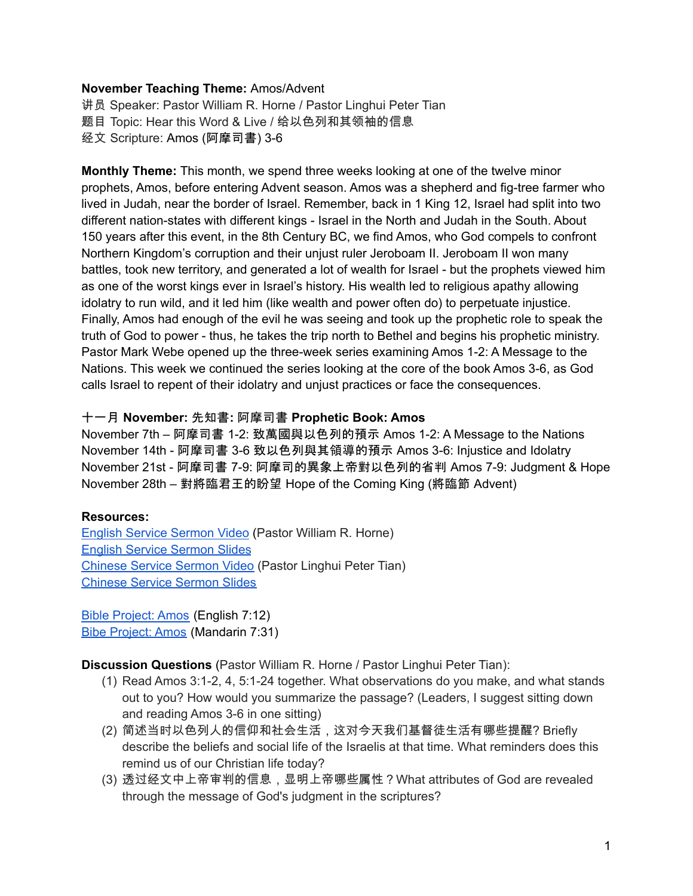## **November Teaching Theme:** Amos/Advent

讲员 Speaker: Pastor William R. Horne / Pastor Linghui Peter Tian 题目 Topic: Hear this Word & Live / 给以色列和其领袖的信息 经文 Scripture: Amos (阿摩司書) 3-6

**Monthly Theme:** This month, we spend three weeks looking at one of the twelve minor prophets, Amos, before entering Advent season. Amos was a shepherd and fig-tree farmer who lived in Judah, near the border of Israel. Remember, back in 1 King 12, Israel had split into two different nation-states with different kings - Israel in the North and Judah in the South. About 150 years after this event, in the 8th Century BC, we find Amos, who God compels to confront Northern Kingdom's corruption and their unjust ruler Jeroboam II. Jeroboam II won many battles, took new territory, and generated a lot of wealth for Israel - but the prophets viewed him as one of the worst kings ever in Israel's history. His wealth led to religious apathy allowing idolatry to run wild, and it led him (like wealth and power often do) to perpetuate injustice. Finally, Amos had enough of the evil he was seeing and took up the prophetic role to speak the truth of God to power - thus, he takes the trip north to Bethel and begins his prophetic ministry. Pastor Mark Webe opened up the three-week series examining Amos 1-2: A Message to the Nations. This week we continued the series looking at the core of the book Amos 3-6, as God calls Israel to repent of their idolatry and unjust practices or face the consequences.

## 十一月 **November:** 先知書**:** 阿摩司書 **Prophetic Book: Amos**

November 7th – 阿摩司書 1-2: 致萬國與以色列的預示 Amos 1-2: A Message to the Nations November 14th - 阿摩司書 3-6 致以色列與其領導的預示 Amos 3-6: Injustice and Idolatry November 21st - 阿摩司書 7-9: 阿摩司的異象上帝對以色列的省判 Amos 7-9: Judgment & Hope November 28th – 對將臨君王的盼望 Hope of the Coming King (將臨節 Advent)

## **Resources:**

English Service [Sermon](https://www.youtube.com/watch?v=aBwTxNkg3jU) Video (Pastor William R. Horne) English Service [Sermon](https://docs.google.com/presentation/d/12WtRWXMuCpiEXVP7yw18NDy2DwVDPgp99EDn08MMJ7w/edit?usp=sharing) Slides [Chinese](https://www.youtube.com/watch?v=bVF_ziEmnVo) Service Sermon Video (Pastor Linghui Peter Tian) [Chinese](https://docs.google.com/presentation/d/1neRnW_MoAlGDgXgYOHYSELqONEw8YdXP/edit?usp=sharing&ouid=111022305003760555164&rtpof=true&sd=true) Service Sermon Slides

Bible [Project:](https://bibleproject.com/explore/video/amos/) Amos (English 7:12) Bibe [Project:](https://www.youtube.com/watch?v=VMtdBwmPft4&list=PLE-R0uydm0uN0xKD3tw0aheiQojlf1JB1&index=20) Amos (Mandarin 7:31)

**Discussion Questions** (Pastor William R. Horne / Pastor Linghui Peter Tian):

- (1) Read Amos 3:1-2, 4, 5:1-24 together. What observations do you make, and what stands out to you? How would you summarize the passage? (Leaders, I suggest sitting down and reading Amos 3-6 in one sitting)
- (2) 简述当时以色列人的信仰和社会生活,这对今天我们基督徒生活有哪些提醒? Briefly describe the beliefs and social life of the Israelis at that time. What reminders does this remind us of our Christian life today?
- (3) 透过经文中上帝审判的信息,显明上帝哪些属性?What attributes of God are revealed through the message of God's judgment in the scriptures?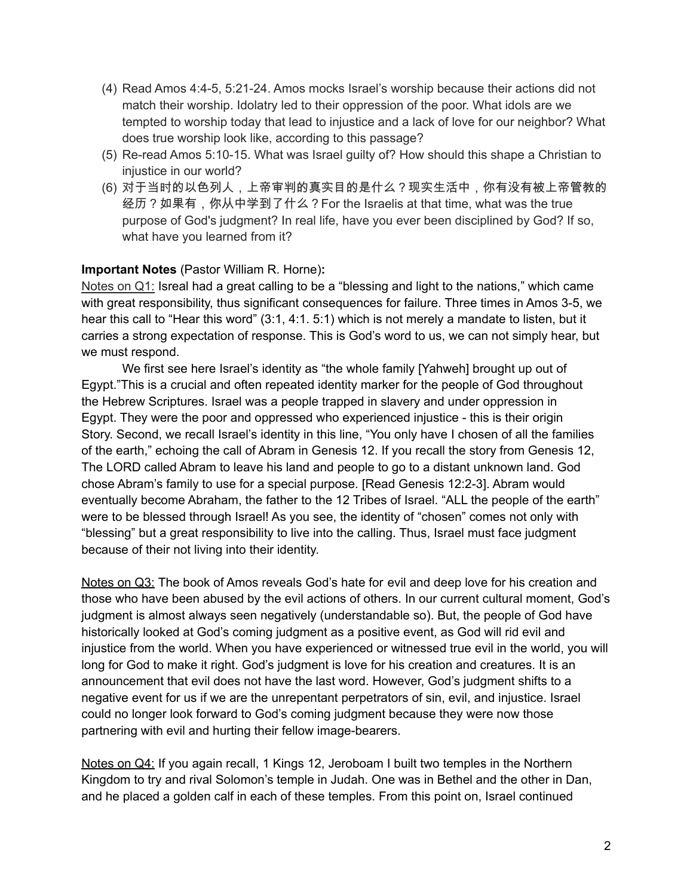- (4) Read Amos 4:4-5, 5:21-24. Amos mocks Israel's worship because their actions did not match their worship. Idolatry led to their oppression of the poor. What idols are we tempted to worship today that lead to injustice and a lack of love for our neighbor? What does true worship look like, according to this passage?
- (5) Re-read Amos 5:10-15. What was Israel guilty of? How should this shape a Christian to injustice in our world?
- (6) 对于当时的以色列人,上帝审判的真实目的是什么?现实生活中,你有没有被上帝管教的 经历?如果有,你从中学到了什么?For the Israelis at that time, what was the true purpose of God's judgment? In real life, have you ever been disciplined by God? If so, what have you learned from it?

## **Important Notes** (Pastor William R. Horne)**:**

Notes on Q1: Isreal had a great calling to be a "blessing and light to the nations," which came with great responsibility, thus significant consequences for failure. Three times in Amos 3-5, we hear this call to "Hear this word" (3:1, 4:1. 5:1) which is not merely a mandate to listen, but it carries a strong expectation of response. This is God's word to us, we can not simply hear, but we must respond.

We first see here Israel's identity as "the whole family [Yahweh] brought up out of Egypt."This is a crucial and often repeated identity marker for the people of God throughout the Hebrew Scriptures. Israel was a people trapped in slavery and under oppression in Egypt. They were the poor and oppressed who experienced injustice - this is their origin Story. Second, we recall Israel's identity in this line, "You only have I chosen of all the families of the earth," echoing the call of Abram in Genesis 12. If you recall the story from Genesis 12, The LORD called Abram to leave his land and people to go to a distant unknown land. God chose Abram's family to use for a special purpose. [Read Genesis 12:2-3]. Abram would eventually become Abraham, the father to the 12 Tribes of Israel. "ALL the people of the earth" were to be blessed through Israel! As you see, the identity of "chosen" comes not only with "blessing" but a great responsibility to live into the calling. Thus, Israel must face judgment because of their not living into their identity.

Notes on Q3: The book of Amos reveals God's hate for evil and deep love for his creation and those who have been abused by the evil actions of others. In our current cultural moment, God's judgment is almost always seen negatively (understandable so). But, the people of God have historically looked at God's coming judgment as a positive event, as God will rid evil and injustice from the world. When you have experienced or witnessed true evil in the world, you will long for God to make it right. God's judgment is love for his creation and creatures. It is an announcement that evil does not have the last word. However, God's judgment shifts to a negative event for us if we are the unrepentant perpetrators of sin, evil, and injustice. Israel could no longer look forward to God's coming judgment because they were now those partnering with evil and hurting their fellow image-bearers.

Notes on Q4: If you again recall, 1 Kings 12, Jeroboam I built two temples in the Northern Kingdom to try and rival Solomon's temple in Judah. One was in Bethel and the other in Dan, and he placed a golden calf in each of these temples. From this point on, Israel continued